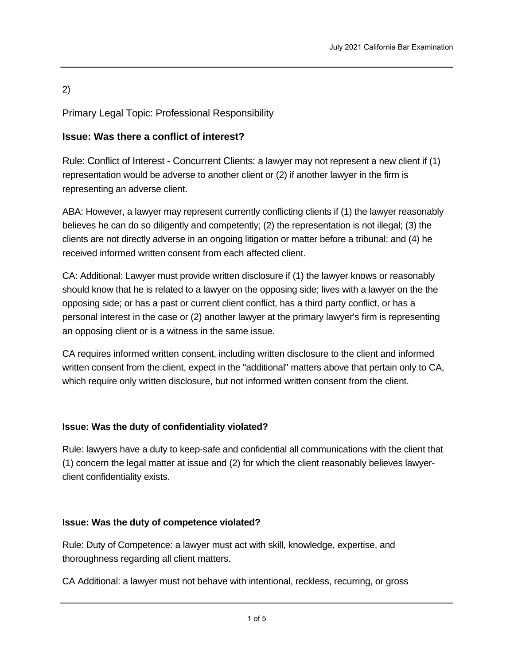# 2)

Primary Legal Topic: Professional Responsibility

# **Issue: Was there a conflict of interest?**

Rule: Conflict of Interest - Concurrent Clients: a lawyer may not represent a new client if (1) representation would be adverse to another client or (2) if another lawyer in the firm is representing an adverse client.

ABA: However, a lawyer may represent currently conflicting clients if (1) the lawyer reasonably believes he can do so diligently and competently; (2) the representation is not illegal; (3) the clients are not directly adverse in an ongoing litigation or matter before a tribunal; and (4) he received informed written consent from each affected client.

CA: Additional: Lawyer must provide written disclosure if (1) the lawyer knows or reasonably should know that he is related to a lawyer on the opposing side; lives with a lawyer on the the opposing side; or has a past or current client conflict, has a third party conflict, or has a personal interest in the case or (2) another lawyer at the primary lawyer's firm is representing an opposing client or is a witness in the same issue.

CA requires informed written consent, including written disclosure to the client and informed written consent from the client, expect in the "additional" matters above that pertain only to CA, which require only written disclosure, but not informed written consent from the client.

# **Issue: Was the duty of confidentiality violated?**

Rule: lawyers have a duty to keep-safe and confidential all communications with the client that (1) concern the legal matter at issue and (2) for which the client reasonably believes lawyerclient confidentiality exists.

# **Issue: Was the duty of competence violated?**

Rule: Duty of Competence: a lawyer must act with skill, knowledge, expertise, and thoroughness regarding all client matters.

CA Additional: a lawyer must not behave with intentional, reckless, recurring, or gross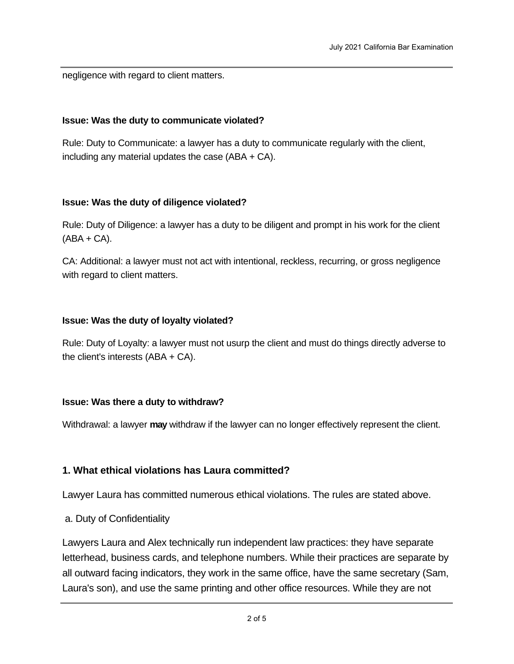negligence with regard to client matters.

#### **Issue: Was the duty to communicate violated?**

Rule: Duty to Communicate: a lawyer has a duty to communicate regularly with the client, including any material updates the case (ABA + CA).

#### **Issue: Was the duty of diligence violated?**

Rule: Duty of Diligence: a lawyer has a duty to be diligent and prompt in his work for the client  $(ABA + CA)$ .

CA: Additional: a lawyer must not act with intentional, reckless, recurring, or gross negligence with regard to client matters.

#### **Issue: Was the duty of loyalty violated?**

Rule: Duty of Loyalty: a lawyer must not usurp the client and must do things directly adverse to the client's interests (ABA + CA).

#### **Issue: Was there a duty to withdraw?**

Withdrawal: a lawyer **may** withdraw if the lawyer can no longer effectively represent the client.

### **1. What ethical violations has Laura committed?**

Lawyer Laura has committed numerous ethical violations. The rules are stated above.

a. Duty of Confidentiality

Lawyers Laura and Alex technically run independent law practices: they have separate letterhead, business cards, and telephone numbers. While their practices are separate by all outward facing indicators, they work in the same office, have the same secretary (Sam, Laura's son), and use the same printing and other office resources. While they are not

 $\rho$  are constructed from sharing certain office resources, they are obligated to take appropriate  $\sigma$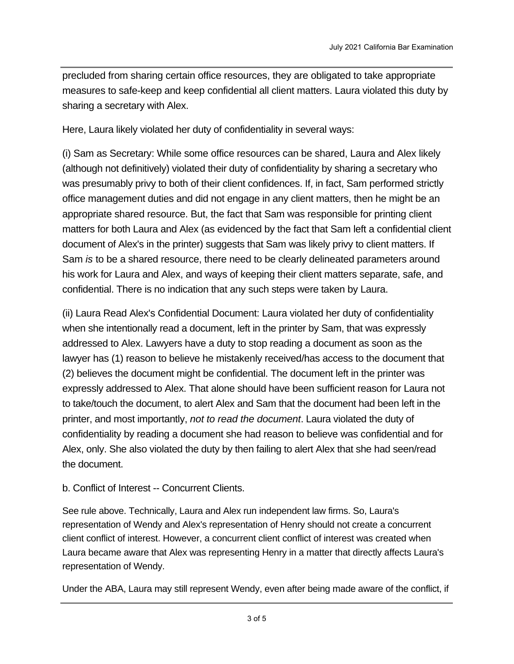precluded from sharing certain office resources, they are obligated to take appropriate measures to safe-keep and keep confidential all client matters. Laura violated this duty by sharing a secretary with Alex.

Here, Laura likely violated her duty of confidentiality in several ways:

(i) Sam as Secretary: While some office resources can be shared, Laura and Alex likely (although not definitively) violated their duty of confidentiality by sharing a secretary who was presumably privy to both of their client confidences. If, in fact, Sam performed strictly office management duties and did not engage in any client matters, then he might be an appropriate shared resource. But, the fact that Sam was responsible for printing client matters for both Laura and Alex (as evidenced by the fact that Sam left a confidential client document of Alex's in the printer) suggests that Sam was likely privy to client matters. If Sam *is* to be a shared resource, there need to be clearly delineated parameters around his work for Laura and Alex, and ways of keeping their client matters separate, safe, and confidential. There is no indication that any such steps were taken by Laura.

(ii) Laura Read Alex's Confidential Document: Laura violated her duty of confidentiality when she intentionally read a document, left in the printer by Sam, that was expressly addressed to Alex. Lawyers have a duty to stop reading a document as soon as the lawyer has (1) reason to believe he mistakenly received/has access to the document that (2) believes the document might be confidential. The document left in the printer was expressly addressed to Alex. That alone should have been sufficient reason for Laura not to take/touch the document, to alert Alex and Sam that the document had been left in the printer, and most importantly, *not to read the document*. Laura violated the duty of confidentiality by reading a document she had reason to believe was confidential and for Alex, only. She also violated the duty by then failing to alert Alex that she had seen/read the document.

# b. Conflict of Interest -- Concurrent Clients.

See rule above. Technically, Laura and Alex run independent law firms. So, Laura's representation of Wendy and Alex's representation of Henry should not create a concurrent client conflict of interest. However, a concurrent client conflict of interest was created when Laura became aware that Alex was representing Henry in a matter that directly affects Laura's representation of Wendy.

Under the ABA, Laura may still represent Wendy, even after being made aware of the conflict, if

she (1) reasonably believes she can competently represent  $\mathcal{L}_{\mathcal{A}}$  the adversion  $\mathcal{L}_{\mathcal{A}}$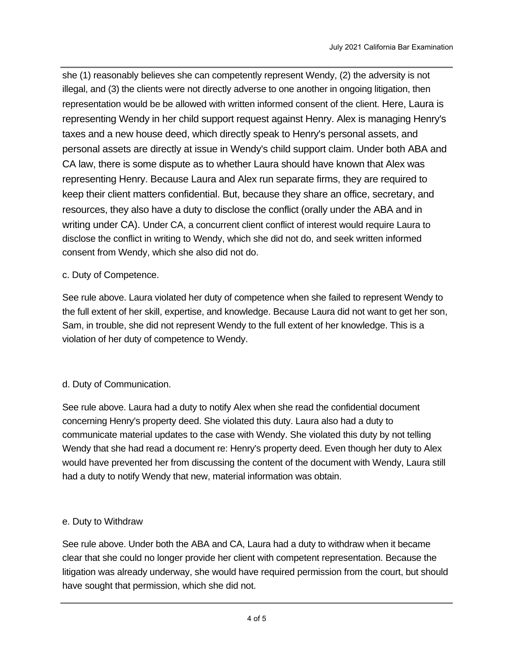she (1) reasonably believes she can competently represent Wendy, (2) the adversity is not illegal, and (3) the clients were not directly adverse to one another in ongoing litigation, then representation would be be allowed with written informed consent of the client. Here, Laura is representing Wendy in her child support request against Henry. Alex is managing Henry's taxes and a new house deed, which directly speak to Henry's personal assets, and personal assets are directly at issue in Wendy's child support claim. Under both ABA and CA law, there is some dispute as to whether Laura should have known that Alex was representing Henry. Because Laura and Alex run separate firms, they are required to keep their client matters confidential. But, because they share an office, secretary, and resources, they also have a duty to disclose the conflict (orally under the ABA and in writing under CA). Under CA, a concurrent client conflict of interest would require Laura to disclose the conflict in writing to Wendy, which she did not do, and seek written informed consent from Wendy, which she also did not do.

## c. Duty of Competence.

See rule above. Laura violated her duty of competence when she failed to represent Wendy to the full extent of her skill, expertise, and knowledge. Because Laura did not want to get her son, Sam, in trouble, she did not represent Wendy to the full extent of her knowledge. This is a violation of her duty of competence to Wendy.

# d. Duty of Communication.

See rule above. Laura had a duty to notify Alex when she read the confidential document concerning Henry's property deed. She violated this duty. Laura also had a duty to communicate material updates to the case with Wendy. She violated this duty by not telling Wendy that she had read a document re: Henry's property deed. Even though her duty to Alex would have prevented her from discussing the content of the document with Wendy, Laura still had a duty to notify Wendy that new, material information was obtain.

### e. Duty to Withdraw

See rule above. Under both the ABA and CA, Laura had a duty to withdraw when it became clear that she could no longer provide her client with competent representation. Because the litigation was already underway, she would have required permission from the court, but should have sought that permission, which she did not.